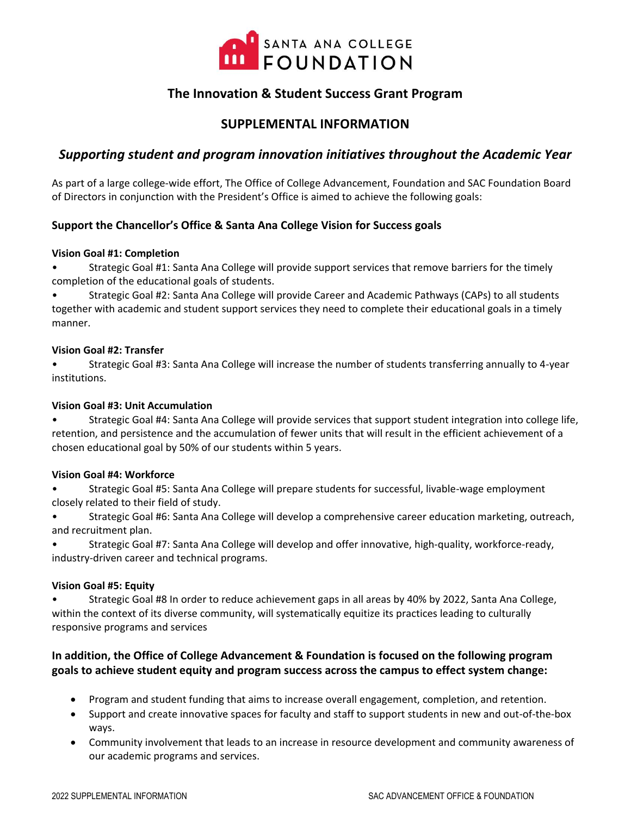

# **The Innovation & Student Success Grant Program**

## **SUPPLEMENTAL INFORMATION**

## *Supporting student and program innovation initiatives throughout the Academic Year*

As part of a large college-wide effort, The Office of College Advancement, Foundation and SAC Foundation Board of Directors in conjunction with the President's Office is aimed to achieve the following goals:

### **Support the Chancellor's Office & Santa Ana College Vision for Success goals**

#### **Vision Goal #1: Completion**

• Strategic Goal #1: Santa Ana College will provide support services that remove barriers for the timely completion of the educational goals of students.

• Strategic Goal #2: Santa Ana College will provide Career and Academic Pathways (CAPs) to all students together with academic and student support services they need to complete their educational goals in a timely manner.

#### **Vision Goal #2: Transfer**

• Strategic Goal #3: Santa Ana College will increase the number of students transferring annually to 4-year institutions.

#### **Vision Goal #3: Unit Accumulation**

• Strategic Goal #4: Santa Ana College will provide services that support student integration into college life, retention, and persistence and the accumulation of fewer units that will result in the efficient achievement of a chosen educational goal by 50% of our students within 5 years.

#### **Vision Goal #4: Workforce**

• Strategic Goal #5: Santa Ana College will prepare students for successful, livable-wage employment closely related to their field of study.

• Strategic Goal #6: Santa Ana College will develop a comprehensive career education marketing, outreach, and recruitment plan.

• Strategic Goal #7: Santa Ana College will develop and offer innovative, high-quality, workforce-ready, industry-driven career and technical programs.

#### **Vision Goal #5: Equity**

• Strategic Goal #8 In order to reduce achievement gaps in all areas by 40% by 2022, Santa Ana College, within the context of its diverse community, will systematically equitize its practices leading to culturally responsive programs and services

### **In addition, the Office of College Advancement & Foundation is focused on the following program goals to achieve student equity and program success across the campus to effect system change:**

- Program and student funding that aims to increase overall engagement, completion, and retention.
- Support and create innovative spaces for faculty and staff to support students in new and out-of-the-box ways.
- Community involvement that leads to an increase in resource development and community awareness of our academic programs and services.